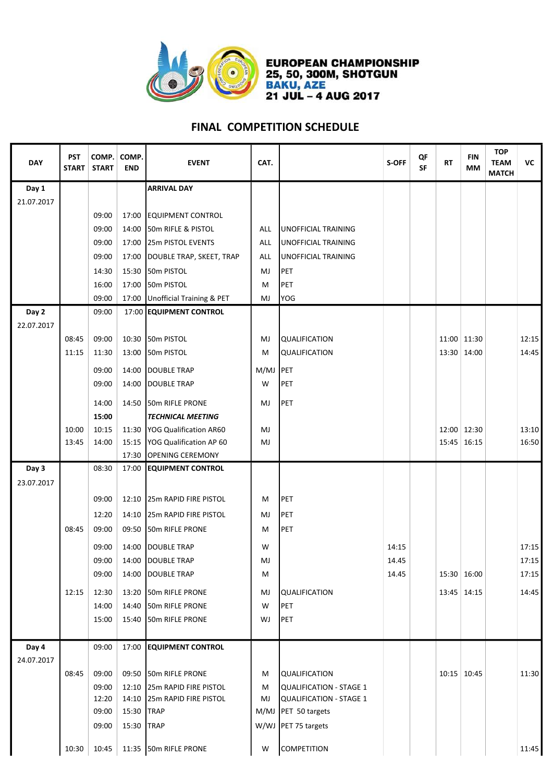

### FINAL COMPETITION SCHEDULE

| <b>DAY</b> | <b>PST</b><br><b>START</b> | COMP.<br><b>START</b> | COMP.<br><b>END</b> | <b>EVENT</b>                    | CAT.       |                            | S-OFF | QF<br><b>SF</b> | <b>RT</b>   | <b>FIN</b><br><b>MM</b> | <b>TOP</b><br><b>TEAM</b><br><b>MATCH</b> | VC    |
|------------|----------------------------|-----------------------|---------------------|---------------------------------|------------|----------------------------|-------|-----------------|-------------|-------------------------|-------------------------------------------|-------|
| Day 1      |                            |                       |                     | <b>ARRIVAL DAY</b>              |            |                            |       |                 |             |                         |                                           |       |
| 21.07.2017 |                            |                       |                     |                                 |            |                            |       |                 |             |                         |                                           |       |
|            |                            | 09:00                 |                     | 17:00 EQUIPMENT CONTROL         |            |                            |       |                 |             |                         |                                           |       |
|            |                            | 09:00                 | 14:00               | 50m RIFLE & PISTOL              | <b>ALL</b> | <b>UNOFFICIAL TRAINING</b> |       |                 |             |                         |                                           |       |
|            |                            | 09:00                 |                     | 17:00 25m PISTOL EVENTS         | ALL        | <b>UNOFFICIAL TRAINING</b> |       |                 |             |                         |                                           |       |
|            |                            | 09:00                 | 17:00               | DOUBLE TRAP, SKEET, TRAP        | ALL        | <b>UNOFFICIAL TRAINING</b> |       |                 |             |                         |                                           |       |
|            |                            | 14:30                 |                     | 15:30 50m PISTOL                | MJ         | PET                        |       |                 |             |                         |                                           |       |
|            |                            | 16:00                 |                     | 17:00 50m PISTOL                | м          | PET                        |       |                 |             |                         |                                           |       |
|            |                            | 09:00                 |                     | 17:00 Unofficial Training & PET | MJ         | <b>YOG</b>                 |       |                 |             |                         |                                           |       |
| Day 2      |                            | 09:00                 |                     | 17:00 EQUIPMENT CONTROL         |            |                            |       |                 |             |                         |                                           |       |
| 22.07.2017 |                            |                       |                     |                                 |            |                            |       |                 |             |                         |                                           |       |
|            | 08:45                      | 09:00                 |                     | 10:30 50m PISTOL                | MJ         | <b>QUALIFICATION</b>       |       |                 |             | 11:00 11:30             |                                           | 12:15 |
|            | 11:15                      | 11:30                 |                     | 13:00 50m PISTOL                | м          | <b>QUALIFICATION</b>       |       |                 |             | 13:30 14:00             |                                           | 14:45 |
|            |                            | 09:00                 |                     | 14:00  DOUBLE TRAP              | M/MJ       | PET                        |       |                 |             |                         |                                           |       |
|            |                            | 09:00                 | 14:00               | <b>DOUBLE TRAP</b>              | W          | PET                        |       |                 |             |                         |                                           |       |
|            |                            | 14:00                 |                     | 14:50 50m RIFLE PRONE           | MJ         | PET                        |       |                 |             |                         |                                           |       |
|            |                            | 15:00                 |                     | <b>TECHNICAL MEETING</b>        |            |                            |       |                 |             |                         |                                           |       |
|            | 10:00                      | 10:15                 | 11:30               | YOG Qualification AR60          | MJ         |                            |       |                 |             | 12:00 12:30             |                                           | 13:10 |
|            | 13:45                      | 14:00                 |                     | 15:15   YOG Qualification AP 60 | MJ         |                            |       |                 | 15:45 16:15 |                         |                                           | 16:50 |
|            |                            |                       | 17:30               | <b>OPENING CEREMONY</b>         |            |                            |       |                 |             |                         |                                           |       |
| Day 3      |                            | 08:30                 | 17:00               | <b>EQUIPMENT CONTROL</b>        |            |                            |       |                 |             |                         |                                           |       |
| 23.07.2017 |                            |                       |                     |                                 |            |                            |       |                 |             |                         |                                           |       |
|            |                            | 09:00                 |                     | 12:10 25m RAPID FIRE PISTOL     | м          | PET                        |       |                 |             |                         |                                           |       |
|            |                            | 12:20                 |                     | 14:10 25m RAPID FIRE PISTOL     | MJ         | PET                        |       |                 |             |                         |                                           |       |
|            |                            |                       |                     |                                 |            | PET                        |       |                 |             |                         |                                           |       |
|            | 08:45                      | 09:00                 | 09:50               | 50m RIFLE PRONE                 | м          |                            |       |                 |             |                         |                                           |       |
|            |                            | 09:00                 | 14:00               | <b>DOUBLE TRAP</b>              | W          |                            | 14:15 |                 |             |                         |                                           | 17:15 |
|            |                            | 09:00                 |                     | 14:00  DOUBLE TRAP              | MJ.        |                            | 14.45 |                 |             |                         |                                           | 17:15 |
|            |                            | 09:00                 |                     | 14:00 DOUBLE TRAP               | м          |                            | 14.45 |                 |             | 15:30 16:00             |                                           | 17:15 |
|            | 12:15                      | 12:30                 |                     | 13:20 50m RIFLE PRONE           | MJ         | <b>QUALIFICATION</b>       |       |                 |             | 13:45 14:15             |                                           | 14:45 |
|            |                            | 14:00                 | 14:40               | 50m RIFLE PRONE                 | W          | PET                        |       |                 |             |                         |                                           |       |
|            |                            | 15:00                 |                     | 15:40 50m RIFLE PRONE           | WJ         | PET                        |       |                 |             |                         |                                           |       |
| Day 4      |                            | 09:00                 |                     | 17:00 EQUIPMENT CONTROL         |            |                            |       |                 |             |                         |                                           |       |
| 24.07.2017 |                            |                       |                     |                                 |            |                            |       |                 |             |                         |                                           |       |
|            | 08:45                      | 09:00                 |                     | 09:50 50m RIFLE PRONE           | М          | QUALIFICATION              |       |                 |             | 10:15 10:45             |                                           | 11:30 |
|            |                            | 09:00                 |                     | 12:10 25m RAPID FIRE PISTOL     | м          | QUALIFICATION - STAGE 1    |       |                 |             |                         |                                           |       |
|            |                            | 12:20                 |                     | 14:10 25m RAPID FIRE PISTOL     | MJ         | QUALIFICATION - STAGE 1    |       |                 |             |                         |                                           |       |
|            |                            | 09:00                 | 15:30 TRAP          |                                 |            | M/MJ PET 50 targets        |       |                 |             |                         |                                           |       |
|            |                            | 09:00                 | 15:30 TRAP          |                                 |            | W/WJ   PET 75 targets      |       |                 |             |                         |                                           |       |
|            | 10:30                      | 10:45                 |                     | 11:35 50m RIFLE PRONE           | W          | <b>COMPETITION</b>         |       |                 |             |                         |                                           | 11:45 |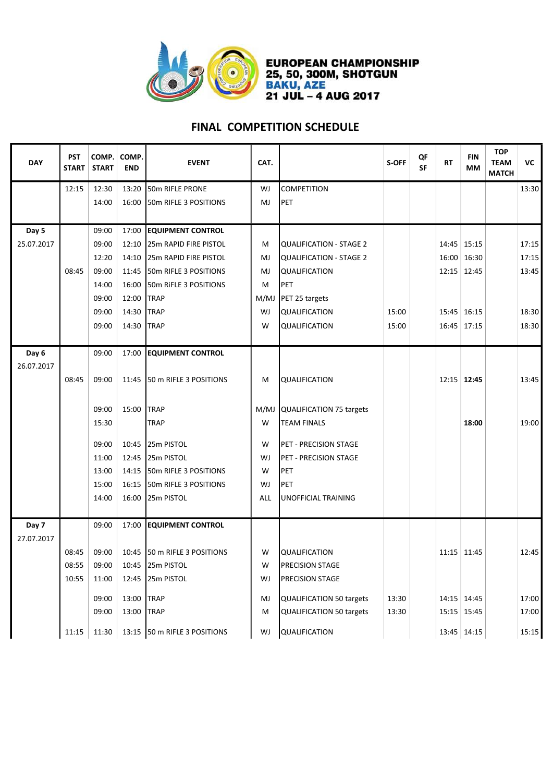

#### FINAL COMPETITION SCHEDULE

| <b>DAY</b> | <b>PST</b><br><b>START</b> | COMP.<br><b>START</b> | COMP.<br><b>END</b> | <b>EVENT</b>                 | CAT. |                                | S-OFF | QF<br><b>SF</b> | <b>RT</b> | <b>FIN</b><br>MМ | <b>TOP</b><br><b>TEAM</b><br><b>MATCH</b> | VC    |
|------------|----------------------------|-----------------------|---------------------|------------------------------|------|--------------------------------|-------|-----------------|-----------|------------------|-------------------------------------------|-------|
|            | 12:15                      | 12:30                 | 13:20               | 50m RIFLE PRONE              | WJ   | <b>COMPETITION</b>             |       |                 |           |                  |                                           | 13:30 |
|            |                            | 14:00                 | 16:00               | 50m RIFLE 3 POSITIONS        | MJ   | PET                            |       |                 |           |                  |                                           |       |
| Day 5      |                            | 09:00                 | 17:00               | <b>EQUIPMENT CONTROL</b>     |      |                                |       |                 |           |                  |                                           |       |
| 25.07.2017 |                            | 09:00                 |                     | 12:10 25m RAPID FIRE PISTOL  | M    | <b>QUALIFICATION - STAGE 2</b> |       |                 |           | 14:45 15:15      |                                           | 17:15 |
|            |                            | 12:20                 |                     | 14:10 25m RAPID FIRE PISTOL  | MJ   | <b>QUALIFICATION - STAGE 2</b> |       |                 |           | 16:00 16:30      |                                           | 17:15 |
|            | 08:45                      | 09:00                 | 11:45               | 50m RIFLE 3 POSITIONS        | MJ   | <b>QUALIFICATION</b>           |       |                 |           | 12:15 12:45      |                                           | 13:45 |
|            |                            | 14:00                 | 16:00               | 50m RIFLE 3 POSITIONS        | M    | PET                            |       |                 |           |                  |                                           |       |
|            |                            | 09:00                 | 12:00               | <b>TRAP</b>                  | M/MJ | PET 25 targets                 |       |                 |           |                  |                                           |       |
|            |                            | 09:00                 | 14:30               | <b>TRAP</b>                  | WJ   | <b>QUALIFICATION</b>           | 15:00 |                 |           | 15:45 16:15      |                                           | 18:30 |
|            |                            | 09:00                 | 14:30               | <b>TRAP</b>                  | W    | <b>QUALIFICATION</b>           | 15:00 |                 |           | 16:45 17:15      |                                           | 18:30 |
| Day 6      |                            | 09:00                 | 17:00               | <b>EQUIPMENT CONTROL</b>     |      |                                |       |                 |           |                  |                                           |       |
| 26.07.2017 |                            |                       |                     |                              |      |                                |       |                 |           |                  |                                           |       |
|            | 08:45                      | 09:00                 |                     | 11:45 50 m RIFLE 3 POSITIONS | M    | <b>QUALIFICATION</b>           |       |                 |           | 12:15 12:45      |                                           | 13:45 |
|            |                            | 09:00                 | 15:00 TRAP          |                              |      | M/MJ QUALIFICATION 75 targets  |       |                 |           |                  |                                           |       |
|            |                            | 15:30                 |                     | <b>TRAP</b>                  | W    | <b>TEAM FINALS</b>             |       |                 |           | 18:00            |                                           | 19:00 |
|            |                            | 09:00                 |                     | 10:45 25m PISTOL             | W    | <b>PET - PRECISION STAGE</b>   |       |                 |           |                  |                                           |       |
|            |                            | 11:00                 | 12:45               | 25m PISTOL                   | WJ   | PET - PRECISION STAGE          |       |                 |           |                  |                                           |       |
|            |                            | 13:00                 |                     | 14:15 50m RIFLE 3 POSITIONS  | W    | PET                            |       |                 |           |                  |                                           |       |
|            |                            | 15:00                 |                     | 16:15 50m RIFLE 3 POSITIONS  | WJ   | PET                            |       |                 |           |                  |                                           |       |
|            |                            | 14:00                 | 16:00               | 25m PISTOL                   | ALL  | <b>UNOFFICIAL TRAINING</b>     |       |                 |           |                  |                                           |       |
| Day 7      |                            | 09:00                 | 17:00               | <b>EQUIPMENT CONTROL</b>     |      |                                |       |                 |           |                  |                                           |       |
| 27.07.2017 |                            |                       |                     |                              |      |                                |       |                 |           |                  |                                           |       |
|            | 08:45                      | 09:00                 |                     | 10:45 50 m RIFLE 3 POSITIONS | W    | <b>QUALIFICATION</b>           |       |                 |           | 11:15 11:45      |                                           | 12:45 |
|            | 08:55                      | 09:00                 |                     | 10:45 25m PISTOL             | W    | <b>PRECISION STAGE</b>         |       |                 |           |                  |                                           |       |
|            | 10:55                      | 11:00                 |                     | 12:45 25m PISTOL             | WJ   | <b>PRECISION STAGE</b>         |       |                 |           |                  |                                           |       |
|            |                            | 09:00                 | 13:00 TRAP          |                              | MJ   | QUALIFICATION 50 targets       | 13:30 |                 |           | 14:15 14:45      |                                           | 17:00 |
|            |                            | 09:00                 | 13:00 TRAP          |                              | M    | QUALIFICATION 50 targets       | 13:30 |                 |           | 15:15 15:45      |                                           | 17:00 |
|            | 11:15                      | 11:30                 |                     | 13:15 50 m RIFLE 3 POSITIONS | WJ   | <b>QUALIFICATION</b>           |       |                 |           | 13:45 14:15      |                                           | 15:15 |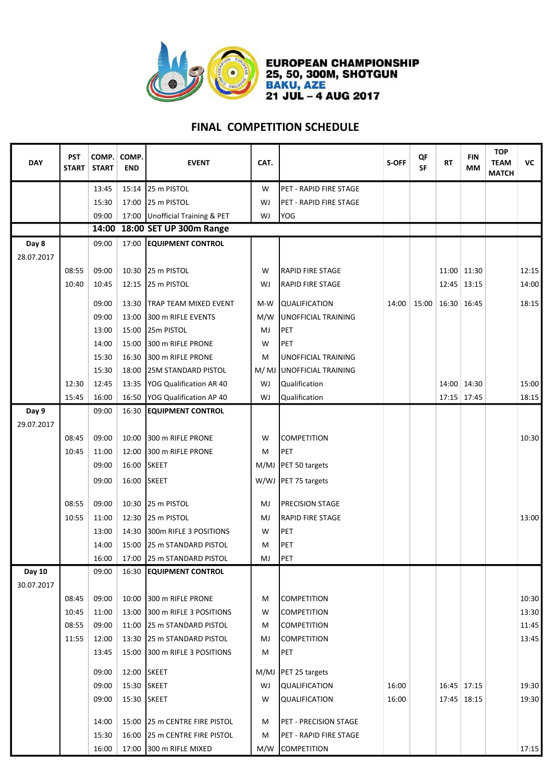

### FINAL COMPETITION SCHEDULE

| <b>DAY</b> | <b>PST</b><br><b>START</b> | COMP.<br><b>START</b> | COMP.<br><b>END</b> | <b>EVENT</b>                         | CAT. |                             | S-OFF | QF<br>SF | <b>RT</b> | <b>FIN</b><br><b>MM</b> | <b>TOP</b><br><b>TEAM</b><br><b>MATCH</b> | VC    |
|------------|----------------------------|-----------------------|---------------------|--------------------------------------|------|-----------------------------|-------|----------|-----------|-------------------------|-------------------------------------------|-------|
|            |                            | 13:45                 | 15:14               | 25 m PISTOL                          | W    | PET - RAPID FIRE STAGE      |       |          |           |                         |                                           |       |
|            |                            | 15:30                 | 17:00               | 25 m PISTOL                          | WJ   | PET - RAPID FIRE STAGE      |       |          |           |                         |                                           |       |
|            |                            | 09:00                 |                     | 17:00 Unofficial Training & PET      | WJ   | <b>YOG</b>                  |       |          |           |                         |                                           |       |
|            |                            | 14:00                 |                     | 18:00 SET UP 300m Range              |      |                             |       |          |           |                         |                                           |       |
| Day 8      |                            | 09:00                 | 17:00               | <b>EQUIPMENT CONTROL</b>             |      |                             |       |          |           |                         |                                           |       |
| 28.07.2017 |                            |                       |                     |                                      |      |                             |       |          |           |                         |                                           |       |
|            | 08:55                      | 09:00                 | 10:30               | 25 m PISTOL                          | W    | <b>RAPID FIRE STAGE</b>     |       |          |           | 11:00 11:30             |                                           | 12:15 |
|            | 10:40                      | 10:45                 | 12:15               | 25 m PISTOL                          | WJ   | <b>RAPID FIRE STAGE</b>     |       |          |           | 12:45 13:15             |                                           | 14:00 |
|            |                            | 09:00                 | 13:30               | <b>TRAP TEAM MIXED EVENT</b>         | M-W  | <b>QUALIFICATION</b>        | 14:00 | 15:00    |           | 16:30 16:45             |                                           | 18:15 |
|            |                            | 09:00                 | 13:00               | 300 m RIFLE EVENTS                   | M/W  | <b>UNOFFICIAL TRAINING</b>  |       |          |           |                         |                                           |       |
|            |                            | 13:00                 | 15:00               | 25m PISTOL                           | MJ   | PET                         |       |          |           |                         |                                           |       |
|            |                            | 14:00                 | 15:00               | 300 m RIFLE PRONE                    | W    | PET                         |       |          |           |                         |                                           |       |
|            |                            | 15:30                 | 16:30               | 1300 m RIFLE PRONE                   | M    | <b>UNOFFICIAL TRAINING</b>  |       |          |           |                         |                                           |       |
|            |                            | 15:30                 | 18:00               | <b>25M STANDARD PISTOL</b>           | M/MJ | <b>JUNOFFICIAL TRAINING</b> |       |          |           |                         |                                           |       |
|            | 12:30                      | 12:45                 | 13:35               | YOG Qualification AR 40              | WJ   | Qualification               |       |          |           | 14:00 14:30             |                                           | 15:00 |
|            | 15:45                      | 16:00                 | 16:50               | YOG Qualification AP 40              | WJ   | Qualification               |       |          |           | 17:15 17:45             |                                           | 18:15 |
| Day 9      |                            | 09:00                 | 16:30               | <b>EQUIPMENT CONTROL</b>             |      |                             |       |          |           |                         |                                           |       |
| 29.07.2017 |                            |                       |                     |                                      |      |                             |       |          |           |                         |                                           |       |
|            | 08:45                      | 09:00                 | 10:00               | 300 m RIFLE PRONE                    | W    | <b>COMPETITION</b>          |       |          |           |                         |                                           | 10:30 |
|            | 10:45                      | 11:00                 | 12:00               | 300 m RIFLE PRONE                    | M    | PET                         |       |          |           |                         |                                           |       |
|            |                            | 09:00                 | 16:00               | <b>SKEET</b>                         | M/MJ | PET 50 targets              |       |          |           |                         |                                           |       |
|            |                            | 09:00                 | 16:00               | <b>SKEET</b>                         | W/WJ | PET 75 targets              |       |          |           |                         |                                           |       |
|            | 08:55                      | 09:00                 | 10:30               | 25 m PISTOL                          | MJ   | <b>PRECISION STAGE</b>      |       |          |           |                         |                                           |       |
|            | 10:55                      | 11:00                 | 12:30               | 25 m PISTOL                          | MJ   | <b>RAPID FIRE STAGE</b>     |       |          |           |                         |                                           | 13:00 |
|            |                            | 13:00                 | 14:30               | 300m RIFLE 3 POSITIONS               | W    | PET                         |       |          |           |                         |                                           |       |
|            |                            | 14:00                 |                     | 15:00 25 m STANDARD PISTOL           | м    | PET                         |       |          |           |                         |                                           |       |
|            |                            |                       |                     | 16:00   17:00   25 m STANDARD PISTOL | MJ   | PET                         |       |          |           |                         |                                           |       |
| Day 10     |                            | 09:00                 |                     | 16:30 EQUIPMENT CONTROL              |      |                             |       |          |           |                         |                                           |       |
| 30.07.2017 |                            |                       |                     |                                      |      |                             |       |          |           |                         |                                           |       |
|            | 08:45                      | 09:00                 | 10:00               | 300 m RIFLE PRONE                    | М    | <b>COMPETITION</b>          |       |          |           |                         |                                           | 10:30 |
|            | 10:45                      | 11:00                 |                     | 13:00 300 m RIFLE 3 POSITIONS        | W    | <b>COMPETITION</b>          |       |          |           |                         |                                           | 13:30 |
|            | 08:55                      | 09:00                 |                     | 11:00 25 m STANDARD PISTOL           | М    | <b>COMPETITION</b>          |       |          |           |                         |                                           | 11:45 |
|            | 11:55                      | 12:00                 |                     | 13:30 25 m STANDARD PISTOL           | MJ   | <b>COMPETITION</b>          |       |          |           |                         |                                           | 13:45 |
|            |                            | 13:45                 |                     | 15:00 300 m RIFLE 3 POSITIONS        | м    | PET                         |       |          |           |                         |                                           |       |
|            |                            | 09:00                 | 12:00 SKEET         |                                      | M/MJ | PET 25 targets              |       |          |           |                         |                                           |       |
|            |                            | 09:00                 | 15:30               | <b>SKEET</b>                         | WJ   | <b>QUALIFICATION</b>        | 16:00 |          |           | 16:45   17:15           |                                           | 19:30 |
|            |                            | 09:00                 | 15:30               | <b>SKEET</b>                         | W    | QUALIFICATION               | 16:00 |          |           | 17:45 18:15             |                                           | 19:30 |
|            |                            | 14:00                 |                     | 15:00 25 m CENTRE FIRE PISTOL        | М    | PET - PRECISION STAGE       |       |          |           |                         |                                           |       |
|            |                            | 15:30                 |                     | 16:00 25 m CENTRE FIRE PISTOL        | м    | PET - RAPID FIRE STAGE      |       |          |           |                         |                                           |       |
|            |                            | 16:00                 |                     | 17:00 300 m RIFLE MIXED              | M/W  | <b>COMPETITION</b>          |       |          |           |                         |                                           | 17:15 |